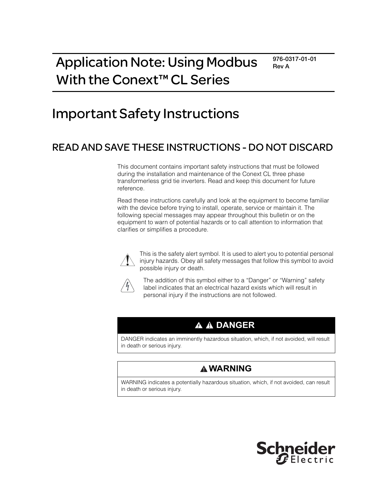# Application Note: Using Modbus With the Conext<sup>™</sup> CL Series

**976-0317-01-01 Rev A**

# Important Safety Instructions

# READ AND SAVE THESE INSTRUCTIONS - DO NOT DISCARD

This document contains important safety instructions that must be followed during the installation and maintenance of the Conext CL three phase transformerless grid tie inverters. Read and keep this document for future reference.

Read these instructions carefully and look at the equipment to become familiar with the device before trying to install, operate, service or maintain it. The following special messages may appear throughout this bulletin or on the equipment to warn of potential hazards or to call attention to information that clarifies or simplifies a procedure.



This is the safety alert symbol. It is used to alert you to potential personal injury hazards. Obey all safety messages that follow this symbol to avoid possible injury or death.



The addition of this symbol either to a "Danger" or "Warning" safety label indicates that an electrical hazard exists which will result in personal injury if the instructions are not followed.

# **A A DANGER**

DANGER indicates an imminently hazardous situation, which, if not avoided, will result in death or serious injury.

# **WARNING**

WARNING indicates a potentially hazardous situation, which, if not avoided, can result in death or serious injury.

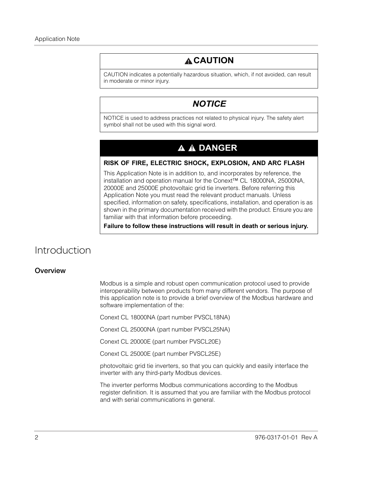# **CAUTION**

CAUTION indicates a potentially hazardous situation, which, if not avoided, can result in moderate or minor injury.

## *NOTICE*

NOTICE is used to address practices not related to physical injury. The safety alert symbol shall not be used with this signal word.

# **A A DANGER**

#### **RISK OF FIRE, ELECTRIC SHOCK, EXPLOSION, AND ARC FLASH**

This Application Note is in addition to, and incorporates by reference, the installation and operation manual for the Conext™ CL 18000NA, 25000NA, 20000E and 25000E photovoltaic grid tie inverters. Before referring this Application Note you must read the relevant product manuals. Unless specified, information on safety, specifications, installation, and operation is as shown in the primary documentation received with the product. Ensure you are familiar with that information before proceeding.

**Failure to follow these instructions will result in death or serious injury.**

# Introduction

#### **Overview**

Modbus is a simple and robust open communication protocol used to provide interoperability between products from many different vendors. The purpose of this application note is to provide a brief overview of the Modbus hardware and software implementation of the:

Conext CL 18000NA (part number PVSCL18NA)

Conext CL 25000NA (part number PVSCL25NA)

Conext CL 20000E (part number PVSCL20E)

Conext CL 25000E (part number PVSCL25E)

photovoltaic grid tie inverters, so that you can quickly and easily interface the inverter with any third-party Modbus devices.

The inverter performs Modbus communications according to the Modbus register definition. It is assumed that you are familiar with the Modbus protocol and with serial communications in general.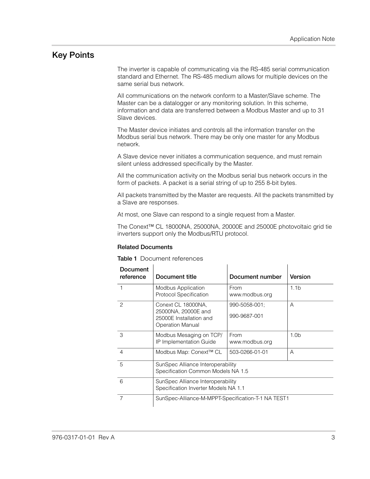### **Key Points**

The inverter is capable of communicating via the RS-485 serial communication standard and Ethernet. The RS-485 medium allows for multiple devices on the same serial bus network.

All communications on the network conform to a Master/Slave scheme. The Master can be a datalogger or any monitoring solution. In this scheme, information and data are transferred between a Modbus Master and up to 31 Slave devices.

The Master device initiates and controls all the information transfer on the Modbus serial bus network. There may be only one master for any Modbus network.

A Slave device never initiates a communication sequence, and must remain silent unless addressed specifically by the Master.

All the communication activity on the Modbus serial bus network occurs in the form of packets. A packet is a serial string of up to 255 8-bit bytes.

All packets transmitted by the Master are requests. All the packets transmitted by a Slave are responses.

At most, one Slave can respond to a single request from a Master.

The Conext™ CL 18000NA, 25000NA, 20000E and 25000E photovoltaic grid tie inverters support only the Modbus/RTU protocol.

#### **Related Documents**

**Table 1** Document references

| <b>Document</b><br>reference | Document title                                                                                  | Document number               | Version          |
|------------------------------|-------------------------------------------------------------------------------------------------|-------------------------------|------------------|
| 1                            | <b>Modbus Application</b><br><b>Protocol Specification</b>                                      | From<br>www.modbus.org        | 1.1 <sub>b</sub> |
| $\mathcal{P}$                | Conext CL 18000NA,<br>25000NA, 20000E and<br>25000E Installation and<br><b>Operation Manual</b> | 990-5058-001;<br>990-9687-001 | A                |
| 3                            | Modbus Mesaging on TCP/<br>IP Implementation Guide                                              | From<br>www.modbus.org        | 1.0 <sub>b</sub> |
| 4                            | Modbus Map: Conext™ CL<br>503-0266-01-01<br>A                                                   |                               |                  |
| 5                            | SunSpec Alliance Interoperability<br>Specification Common Models NA 1.5                         |                               |                  |
| 6                            | SunSpec Alliance Interoperability<br>Specification Inverter Models NA 1.1                       |                               |                  |
| 7                            | SunSpec-Alliance-M-MPPT-Specification-T-1 NA TEST1                                              |                               |                  |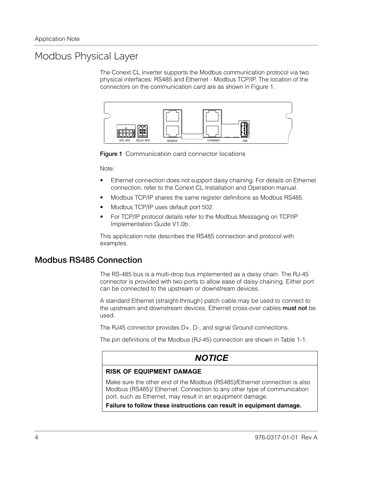# Modbus Physical Layer

The Conext CL inverter supports the Modbus communication protocol via two physical interfaces: RS485 and Ethernet - Modbus TCP/IP. The location of the connectors on the communication card are as shown in [Figure 1](#page-3-0).



<span id="page-3-0"></span>**Figure 1** Communication card connector locations

Note:

- Ethernet connection does not support daisy chaining. For details on Ethernet connection, refer to the Conext CL Installation and Operation manual.
- Modbus TCP/IP shares the same register definitions as Modbus RS485.
- Modbus TCP/IP uses default port 502.
- For TCP/IP protocol details refer to the Modbus Messaging on TCP/IP Implementation Guide V1.0b.

This application note describes the RS485 connection and protocol with examples.

### **Modbus RS485 Connection**

The RS-485 bus is a multi-drop bus implemented as a daisy chain. The RJ-45 connector is provided with two ports to allow ease of daisy chaining. Either port can be connected to the upstream or downstream devices.

A standard Ethernet (straight-through) patch cable may be used to connect to the upstream and downstream devices. Ethernet cross-over cables **must not** be used.

The RJ45 connector provides D+, D-, and signal Ground connections.

The pin definitions of the Modbus (RJ-45) connection are shown in Table 1-1.

### *NOTICE*

#### **RISK OF EQUIPMENT DAMAGE**

Make sure the other end of the Modbus (RS485)/Ethernet connection is also Modbus (RS485)/ Ethernet. Connection to any other type of communication port, such as Ethernet, may result in an equipment damage.

**Failure to follow these instructions can result in equipment damage.**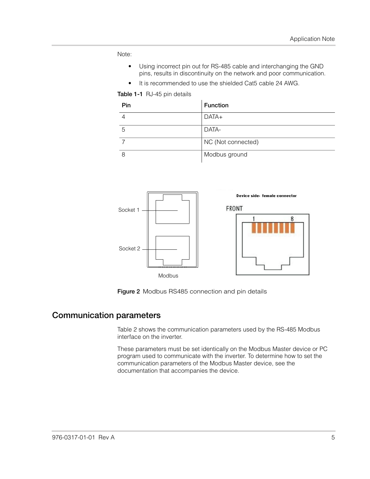Note:

- Using incorrect pin out for RS-485 cable and interchanging the GND pins, results in discontinuity on the network and poor communication.
- It is recommended to use the shielded Cat5 cable 24 AWG.

**Table 1-1** RJ-45 pin details

| Pin | <b>Function</b>    |
|-----|--------------------|
|     | DATA+              |
| 5   | DATA-              |
|     | NC (Not connected) |
|     | Modbus ground      |



**Figure 2** Modbus RS485 connection and pin details

### **Communication parameters**

Table 2 shows the communication parameters used by the RS-485 Modbus interface on the inverter.

These parameters must be set identically on the Modbus Master device or PC program used to communicate with the inverter. To determine how to set the communication parameters of the Modbus Master device, see the documentation that accompanies the device.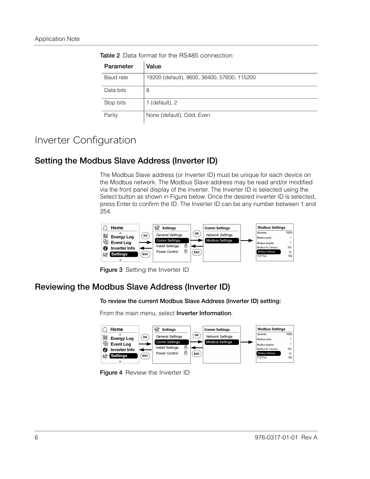| Parameter | Value                                       |
|-----------|---------------------------------------------|
| Baud rate | 19200 (default), 9600, 38400, 57600, 115200 |
| Data bits | 8                                           |
| Stop bits | 1 (default), $2$                            |
| Parity    | None (default), Odd, Even                   |

**Table 2** Data format for the RS485 connection

# Inverter Configuration

### **Setting the Modbus Slave Address (Inverter ID)**

The Modbus Slave address (or Inverter ID) must be unique for each device on the Modbus network. The Modbus Slave address may be read and/or modified via the front panel display of the inverter. The Inverter ID is selected using the Select button as shown in Figure below. Once the desired inverter ID is selected, press Enter to confirm the ID. The Inverter ID can be any number between 1 and 254.



**Figure 3** Setting the Inverter ID

## **Reviewing the Modbus Slave Address (Inverter ID)**

**To review the current Modbus Slave Address (Inverter ID) setting:**

From the main menu, select **Inverter Information**.



**Figure 4** Review the Inverter ID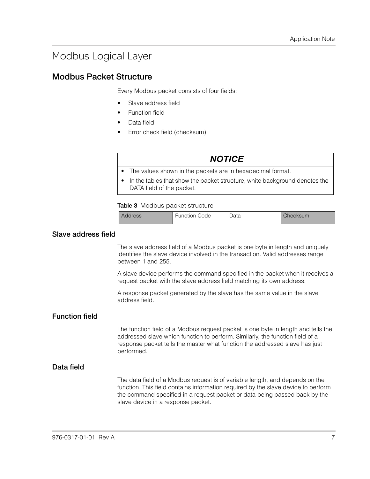# Modbus Logical Layer

### **Modbus Packet Structure**

Every Modbus packet consists of four fields:

- Slave address field
- Function field
- Data field
- Error check field (checksum)

| <b>NOTICE</b>                                                                                             |
|-----------------------------------------------------------------------------------------------------------|
| • The values shown in the packets are in hexadecimal format.                                              |
| • In the tables that show the packet structure, white background denotes the<br>DATA field of the packet. |

#### **Table 3** Modbus packet structure

| Address | <b>Function Code</b> | Data | Checksum |
|---------|----------------------|------|----------|
|---------|----------------------|------|----------|

#### **Slave address field**

The slave address field of a Modbus packet is one byte in length and uniquely identifies the slave device involved in the transaction. Valid addresses range between 1 and 255.

A slave device performs the command specified in the packet when it receives a request packet with the slave address field matching its own address.

A response packet generated by the slave has the same value in the slave address field.

#### **Function field**

The function field of a Modbus request packet is one byte in length and tells the addressed slave which function to perform. Similarly, the function field of a response packet tells the master what function the addressed slave has just performed.

#### **Data field**

The data field of a Modbus request is of variable length, and depends on the function. This field contains information required by the slave device to perform the command specified in a request packet or data being passed back by the slave device in a response packet.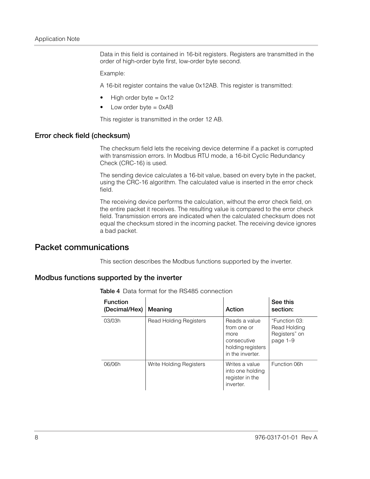Data in this field is contained in 16-bit registers. Registers are transmitted in the order of high-order byte first, low-order byte second.

Example:

A 16-bit register contains the value 0x12AB. This register is transmitted:

- High order byte  $= 0x12$
- Low order byte  $= 0xAB$

This register is transmitted in the order 12 AB.

#### **Error check field (checksum)**

The checksum field lets the receiving device determine if a packet is corrupted with transmission errors. In Modbus RTU mode, a 16-bit Cyclic Redundancy Check (CRC-16) is used.

The sending device calculates a 16-bit value, based on every byte in the packet, using the CRC-16 algorithm. The calculated value is inserted in the error check field.

The receiving device performs the calculation, without the error check field, on the entire packet it receives. The resulting value is compared to the error check field. Transmission errors are indicated when the calculated checksum does not equal the checksum stored in the incoming packet. The receiving device ignores a bad packet.

### **Packet communications**

This section describes the Modbus functions supported by the inverter.

#### **Modbus functions supported by the inverter**

| <b>Function</b><br>(Decimal/Hex) | Meaning                       | Action                                                                                       | See this<br>section:                                       |
|----------------------------------|-------------------------------|----------------------------------------------------------------------------------------------|------------------------------------------------------------|
| 03/03h                           | <b>Read Holding Registers</b> | Reads a value<br>from one or<br>more<br>consecutive<br>holding registers<br>in the inverter. | "Function 03:<br>Read Holding<br>Registers" on<br>page 1-9 |
| 06/06h                           | Write Holding Registers       | Writes a value<br>into one holding<br>register in the<br>inverter.                           | Function 06h                                               |

**Table 4** Data format for the RS485 connection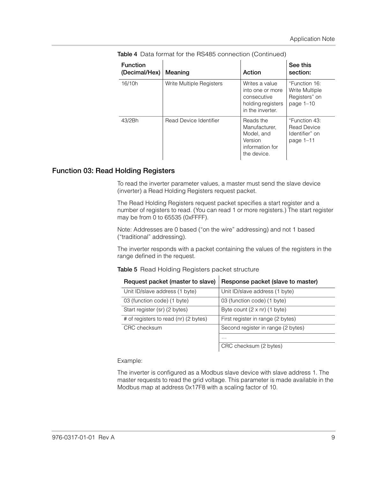| <b>Function</b><br>(Decimal/Hex) | Meaning                  | Action                                                                                     | See this<br>section:                                               |
|----------------------------------|--------------------------|--------------------------------------------------------------------------------------------|--------------------------------------------------------------------|
| 16/10h                           | Write Multiple Registers | Writes a value<br>into one or more<br>consecutive<br>holding registers<br>in the inverter. | "Function 16:<br>Write Multiple<br>Registers" on<br>page $1-10$    |
| 43/2Bh                           | Read Device Identifier   | Reads the<br>Manufacturer.<br>Model, and<br>Version<br>information for<br>the device.      | "Function 43:<br><b>Read Device</b><br>Identifier" on<br>page 1-11 |

**Table 4** Data format for the RS485 connection (Continued)

#### <span id="page-8-0"></span>**Function 03: Read Holding Registers**

To read the inverter parameter values, a master must send the slave device (inverter) a Read Holding Registers request packet.

The Read Holding Registers request packet specifies a start register and a number of registers to read. (You can read 1 or more registers.) The start register may be from 0 to 65535 (0xFFFF).

Note: Addresses are 0 based ("on the wire" addressing) and not 1 based ("traditional" addressing).

The inverter responds with a packet containing the values of the registers in the range defined in the request.

#### **Table 5** Read Holding Registers packet structure

| Request packet (master to slave)      | Response packet (slave to master)   |
|---------------------------------------|-------------------------------------|
| Unit ID/slave address (1 byte)        | Unit ID/slave address (1 byte)      |
| 03 (function code) (1 byte)           | 03 (function code) (1 byte)         |
| Start register (sr) (2 bytes)         | Byte count $(2 \times nr)$ (1 byte) |
| # of registers to read (nr) (2 bytes) | First register in range (2 bytes)   |
| CRC checksum                          | Second register in range (2 bytes)  |
|                                       | .                                   |
|                                       | CRC checksum (2 bytes)              |

Example:

The inverter is configured as a Modbus slave device with slave address 1. The master requests to read the grid voltage. This parameter is made available in the Modbus map at address 0x17F8 with a scaling factor of 10.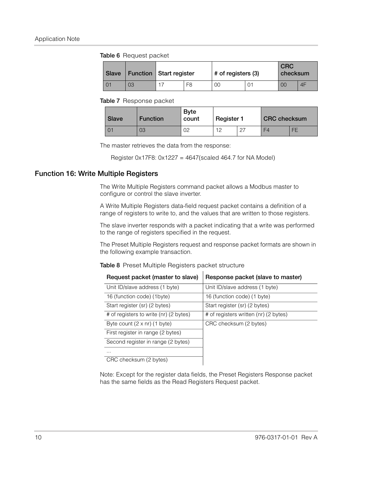#### **Table 6** Request packet

| Slave |    | <b>Function Start register</b> |                | # of registers (3) |  | <b>CRC</b><br>checksum |    |
|-------|----|--------------------------------|----------------|--------------------|--|------------------------|----|
|       | 03 |                                | F <sub>8</sub> | 00                 |  | 00                     | 4F |

#### **Table 7** Response packet

| Slave | <b>Function</b> | <b>Byte</b><br>count | <b>Register 1</b> | <b>CRC</b> checksum |    |
|-------|-----------------|----------------------|-------------------|---------------------|----|
|       | 03              | ገባ<br>◡▱             | ר 1               | F4                  | FE |

The master retrieves the data from the response:

Register 0x17F8: 0x1227 = 4647(scaled 464.7 for NA Model)

#### <span id="page-9-0"></span>**Function 16: Write Multiple Registers**

The Write Multiple Registers command packet allows a Modbus master to configure or control the slave inverter.

A Write Multiple Registers data-field request packet contains a definition of a range of registers to write to, and the values that are written to those registers.

The slave inverter responds with a packet indicating that a write was performed to the range of registers specified in the request.

The Preset Multiple Registers request and response packet formats are shown in the following example transaction.

|  |  | Table 8 Preset Multiple Registers packet structure |  |  |
|--|--|----------------------------------------------------|--|--|
|--|--|----------------------------------------------------|--|--|

| Request packet (master to slave)       | Response packet (slave to master)     |
|----------------------------------------|---------------------------------------|
| Unit ID/slave address (1 byte)         | Unit ID/slave address (1 byte)        |
| 16 (function code) (1byte)             | 16 (function code) (1 byte)           |
| Start register (sr) (2 bytes)          | Start register (sr) (2 bytes)         |
| # of registers to write (nr) (2 bytes) | # of registers written (nr) (2 bytes) |
| Byte count $(2 \times nr)$ (1 byte)    | CRC checksum (2 bytes)                |
| First register in range (2 bytes)      |                                       |
| Second register in range (2 bytes)     |                                       |
| .                                      |                                       |
| CRC checksum (2 bytes)                 |                                       |

Note: Except for the register data fields, the Preset Registers Response packet has the same fields as the Read Registers Request packet.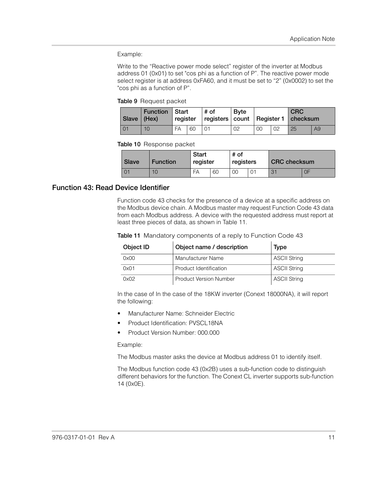Example:

Write to the "Reactive power mode select" register of the inverter at Modbus address 01 (0x01) to set "cos phi as a function of P". The reactive power mode select register is at address 0xFA60, and it must be set to "2" (0x0002) to set the "cos phi as a function of P".

**Table 9** Request packet

| Slave $ $ (Hex) | <b>Function   Start</b> | register |    | # of<br>  registers   count   Register 1   checksum | <b>B</b> vte |    |                | <b>CRC</b> |    |
|-----------------|-------------------------|----------|----|-----------------------------------------------------|--------------|----|----------------|------------|----|
|                 | 10                      | FA       | 60 |                                                     | 02           | 00 | 0 <sub>2</sub> | 25         | A9 |

**Table 10** Response packet

| <b>Slave</b> | Function | Start<br>register |    | # of<br>registers | <b>CRC</b> checksum |    |  |
|--------------|----------|-------------------|----|-------------------|---------------------|----|--|
|              | 10       | FA                | 60 | 00                | ◡                   | 0F |  |

#### <span id="page-10-0"></span>**Function 43: Read Device Identifier**

Function code 43 checks for the presence of a device at a specific address on the Modbus device chain. A Modbus master may request Function Code 43 data from each Modbus address. A device with the requested address must report at least three pieces of data, as shown in Table 11.

|  |  |  | Table 11 Mandatory components of a reply to Function Code 43 |
|--|--|--|--------------------------------------------------------------|
|--|--|--|--------------------------------------------------------------|

| Object <b>ID</b> | Object name / description     | <b>Type</b>         |
|------------------|-------------------------------|---------------------|
| 0x00             | Manufacturer Name             | <b>ASCII String</b> |
| 0x01             | Product Identification        | <b>ASCII String</b> |
| 0x02             | <b>Product Version Number</b> | <b>ASCII String</b> |

In the case of In the case of the 18KW inverter (Conext 18000NA), it will report the following:

- Manufacturer Name: Schneider Electric
- Product Identification: PVSCL18NA
- Product Version Number: 000.000

#### Example:

The Modbus master asks the device at Modbus address 01 to identify itself.

The Modbus function code 43 (0x2B) uses a sub-function code to distinguish different behaviors for the function. The Conext CL inverter supports sub-function 14 (0x0E).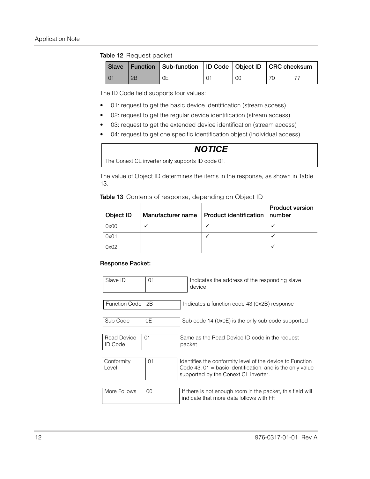#### **Table 12** Request packet

|                 |    | Slave   Function   Sub-function   ID Code   Object ID   CRC checksum |    |  |
|-----------------|----|----------------------------------------------------------------------|----|--|
| $\overline{01}$ | 2Β | OΕ                                                                   | 00 |  |

The ID Code field supports four values:

- 01: request to get the basic device identification (stream access)
- 02: request to get the regular device identification (stream access)
- 03: request to get the extended device identification (stream access)
- 04: request to get one specific identification object (individual access)

### *NOTICE*

The Conext CL inverter only supports ID code 01.

The value of Object ID determines the items in the response, as shown in Table 13.

|  |  | Table 13 Contents of response, depending on Object ID |
|--|--|-------------------------------------------------------|
|  |  |                                                       |

| Object ID | Manufacturer name | Product identification | <b>Product version</b><br>$\ln$ umber |
|-----------|-------------------|------------------------|---------------------------------------|
| 0x00      |                   |                        |                                       |
| 0x01      |                   |                        |                                       |
| 0x02      |                   |                        |                                       |

#### **Response Packet:**

| Slave ID                             | 01 | Indicates the address of the responding slave<br>device                                                                                                          |
|--------------------------------------|----|------------------------------------------------------------------------------------------------------------------------------------------------------------------|
|                                      |    |                                                                                                                                                                  |
| <b>Function Code</b>                 | 2B | Indicates a function code 43 (0x2B) response                                                                                                                     |
|                                      |    |                                                                                                                                                                  |
| Sub Code                             | 0E | Sub code 14 (0x0E) is the only sub code supported                                                                                                                |
|                                      |    |                                                                                                                                                                  |
| <b>Read Device</b><br><b>ID</b> Code | 01 | Same as the Read Device ID code in the request<br>packet                                                                                                         |
|                                      |    |                                                                                                                                                                  |
| Conformity<br>Level                  | 01 | Identifies the conformity level of the device to Function<br>Code 43. $01$ = basic identification, and is the only value<br>supported by the Conext CL inverter. |
|                                      |    |                                                                                                                                                                  |
| More Follows                         | 00 | If there is not enough room in the packet, this field will<br>indicate that more data follows with FF.                                                           |
|                                      |    |                                                                                                                                                                  |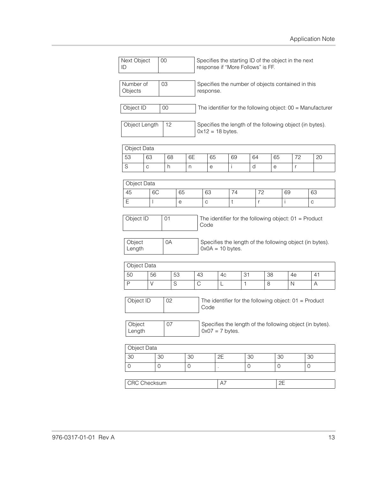| Next Object<br>00<br>ID    |               | Specifies the starting ID of the object in the next<br>response if "More Follows" is FF. |                                                                 |                     |             |    |                      |                    |    |    |    |                     |    |                |                                                              |
|----------------------------|---------------|------------------------------------------------------------------------------------------|-----------------------------------------------------------------|---------------------|-------------|----|----------------------|--------------------|----|----|----|---------------------|----|----------------|--------------------------------------------------------------|
| Number of<br>03<br>Objects |               |                                                                                          | Specifies the number of objects contained in this<br>response.  |                     |             |    |                      |                    |    |    |    |                     |    |                |                                                              |
| Object ID                  |               | $00\,$                                                                                   |                                                                 |                     |             |    |                      |                    |    |    |    |                     |    |                | The identifier for the following object: $00 =$ Manufacturer |
|                            | Object Length | 12                                                                                       |                                                                 |                     |             |    | $0x12 = 18$ bytes.   |                    |    |    |    |                     |    |                | Specifies the length of the following object (in bytes).     |
|                            | Object Data   |                                                                                          |                                                                 |                     |             |    |                      |                    |    |    |    |                     |    |                |                                                              |
| 53                         | 63            | 68                                                                                       |                                                                 | 6E                  |             | 65 |                      | 69                 |    | 64 |    | 65                  | 72 |                | 20                                                           |
| $\mathsf S$                | C             | h.                                                                                       |                                                                 | n                   |             | е  |                      | i                  | d  |    | e  |                     | r  |                |                                                              |
|                            |               |                                                                                          |                                                                 |                     |             |    |                      |                    |    |    |    |                     |    |                |                                                              |
|                            | Object Data   |                                                                                          |                                                                 |                     |             |    |                      |                    |    |    |    |                     |    |                |                                                              |
| 45                         | 6C            |                                                                                          | 65                                                              |                     |             | 63 |                      | 74                 | 72 |    |    |                     | 69 |                | 63                                                           |
| E                          | $\mathsf{I}$  |                                                                                          | е                                                               |                     | $\mathbf C$ |    |                      | t                  |    | r  |    | i.                  |    |                | C                                                            |
| Object<br>Length           |               | 0A                                                                                       |                                                                 |                     |             |    |                      | $0x0A = 10$ bytes. |    |    |    |                     |    |                | Specifies the length of the following object (in bytes).     |
|                            | Object Data   |                                                                                          |                                                                 |                     |             |    |                      |                    |    |    |    |                     |    |                |                                                              |
| 50                         | 56            |                                                                                          | 53                                                              |                     | 43          |    | 4c                   |                    | 31 |    | 38 |                     | 4e |                | 41                                                           |
| P                          | $\vee$        |                                                                                          | S                                                               |                     | C           |    | L                    |                    | 1  |    | 8  |                     | N  |                | A                                                            |
| Object ID<br>02            |               |                                                                                          | The identifier for the following object: $01 =$ Product<br>Code |                     |             |    |                      |                    |    |    |    |                     |    |                |                                                              |
| Object<br>Length           |               | 07                                                                                       |                                                                 |                     |             |    | $0x07 = 7$ bytes.    |                    |    |    |    |                     |    |                | Specifies the length of the following object (in bytes).     |
|                            | Object Data   |                                                                                          |                                                                 |                     |             |    |                      |                    |    |    |    |                     |    |                |                                                              |
| 30                         |               | 30                                                                                       |                                                                 | 30                  |             |    | 2E                   |                    | 30 |    |    | 30                  |    | 30             |                                                              |
| $\mathsf{O}\xspace$        |               | $\overline{0}$                                                                           |                                                                 | $\mathsf{O}\xspace$ |             |    | $\ddot{\phantom{a}}$ |                    | 0  |    |    | $\mathsf{O}\xspace$ |    | $\overline{O}$ |                                                              |
|                            |               |                                                                                          |                                                                 |                     |             |    | A7                   |                    |    |    |    | 2E                  |    |                |                                                              |
| CRC Checksum               |               |                                                                                          |                                                                 |                     |             |    |                      |                    |    |    |    |                     |    |                |                                                              |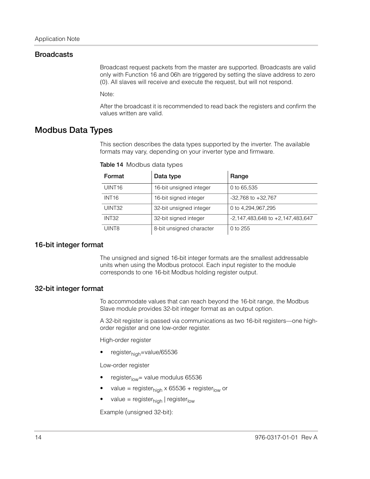#### **Broadcasts**

Broadcast request packets from the master are supported. Broadcasts are valid only with Function 16 and 06h are triggered by setting the slave address to zero (0). All slaves will receive and execute the request, but will not respond.

Note:

After the broadcast it is recommended to read back the registers and confirm the values written are valid.

### **Modbus Data Types**

This section describes the data types supported by the inverter. The available formats may vary, depending on your inverter type and firmware.

| Format             | Data type                | Range                                |
|--------------------|--------------------------|--------------------------------------|
| UINT <sub>16</sub> | 16-bit unsigned integer  | 0 to 65,535                          |
| INT <sub>16</sub>  | 16-bit signed integer    | $-32,768$ to $+32,767$               |
| UINT32             | 32-bit unsigned integer  | 0 to 4,294,967,295                   |
| INT <sub>32</sub>  | 32-bit signed integer    | $-2,147,483,648$ to $+2,147,483,647$ |
| UINT8              | 8-bit unsigned character | 0 to $255$                           |

**Table 14** Modbus data types

#### **16-bit integer format**

The unsigned and signed 16-bit integer formats are the smallest addressable units when using the Modbus protocol. Each input register to the module corresponds to one 16-bit Modbus holding register output.

#### **32-bit integer format**

To accommodate values that can reach beyond the 16-bit range, the Modbus Slave module provides 32-bit integer format as an output option.

A 32-bit register is passed via communications as two 16-bit registers—one highorder register and one low-order register.

High-order register

register<sub>high</sub>=value/65536

Low-order register

- register $_{low}$ = value modulus 65536
- value = register<sub>high</sub> x 65536 + register<sub>low</sub> or
- value = register $_{\text{hich}}$  | register<sub>low</sub>

Example (unsigned 32-bit):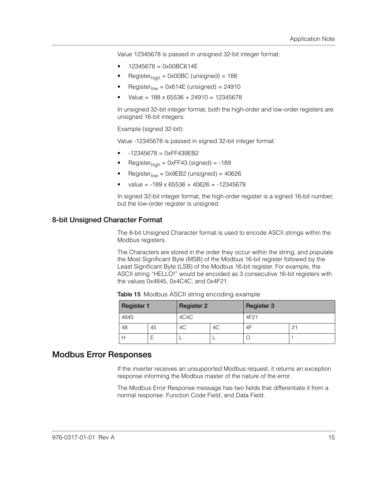Value 12345678 is passed in unsigned 32-bit integer format:

- 12345678 = 0x00BC614E
- Register $_{\text{high}}$  = 0x00BC (unsigned) = 188
- $Register<sub>low</sub> = 0x614E (unsigned) = 24910$
- $Value = 188 \times 65536 + 24910 = 12345678$

In unsigned 32-bit integer format, both the high-order and low-order registers are unsigned 16-bit integers.

Example (signed 32-bit):

Value -12345678 is passed in signed 32-bit integer format:

- $-12345678 = 0xFF439EB2$
- Register $_{\text{hich}}$  = 0xFF43 (signed) = -189
- $Register<sub>low</sub> = 0x9EB2 (unsigned) = 40626$
- $value = -189 \times 65536 + 40626 = -12345678$

In signed 32-bit integer format, the high-order register is a signed 16-bit number, but the low-order register is unsigned.

#### **8-bit Unsigned Character Format**

The 8-bit Unsigned Character format is used to encode ASCII strings within the Modbus registers.

The Characters are stored in the order they occur within the string, and populate the Most Significant Byte (MSB) of the Modbus 16-bit register followed by the Least Significant Byte (LSB) of the Modbus 16-bit register. For example, the ASCII string "HELLO!" would be encoded as 3 consecutive 16-bit registers with the values 0x4845, 0x4C4C, and 0x4F21.

| <b>Register 1</b> |    | <b>Register 2</b> |    | <b>Register 3</b> |                |  |  |
|-------------------|----|-------------------|----|-------------------|----------------|--|--|
| 4845              |    | 4C4C              |    | 4F21              |                |  |  |
| 48                | 45 | 4C                | 4C | 4F                | 2 <sup>1</sup> |  |  |
|                   |    |                   |    |                   |                |  |  |

**Table 15** Modbus ASCII string encoding example

#### **Modbus Error Responses**

If the inverter receives an unsupported Modbus request, it returns an exception response informing the Modbus master of the nature of the error.

The Modbus Error Response message has two fields that differentiate it from a normal response: Function Code Field, and Data Field.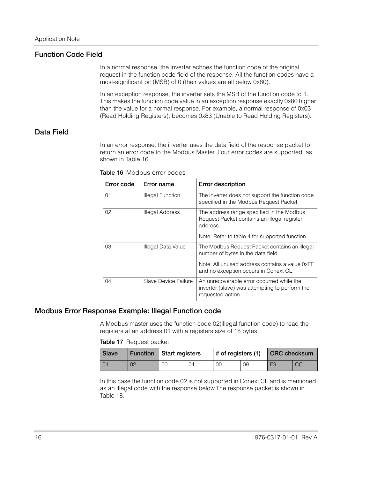#### **Function Code Field**

In a normal response, the inverter echoes the function code of the original request in the function code field of the response. All the function codes have a most-significant bit (MSB) of 0 (their values are all below 0x80).

In an exception response, the inverter sets the MSB of the function code to 1. This makes the function code value in an exception response exactly 0x80 higher than the value for a normal response. For example, a normal response of 0x03 (Read Holding Registers), becomes 0x83 (Unable to Read Holding Registers).

#### **Data Field**

In an error response, the inverter uses the data field of the response packet to return an error code to the Modbus Master. Four error codes are supported, as shown in Table 16.

| Error code | Error name              | <b>Error description</b>                                                                                                                                                       |
|------------|-------------------------|--------------------------------------------------------------------------------------------------------------------------------------------------------------------------------|
| 01         | <b>Illegal Function</b> | The inverter does not support the function code<br>specified in the Modbus Request Packet.                                                                                     |
| 02         | Illegal Address         | The address range specified in the Modbus<br>Request Packet contains an illegal register<br>address.<br>Note: Refer to table 4 for supported function                          |
| 03         | Illegal Data Value      | The Modbus Request Packet contains an illegal<br>number of bytes in the data field.<br>Note: All unused address contains a value 0xFF<br>and no exception occurs in Conext CL. |
| 04         | Slave Device Failure    | An unrecoverable error occurred while the<br>inverter (slave) was attempting to perform the<br>requested action                                                                |

**Table 16** Modbus error codes

#### **Modbus Error Response Example: Illegal Function code**

A Modbus master uses the function code 02(illegal function code) to read the registers at an address 01 with a registers size of 18 bytes.

**Table 17** Request packet

| <b>Slave</b> |    | <b>Function Start registers</b> |  | $\#$ of registers (1) CRC checksum |    |                |    |
|--------------|----|---------------------------------|--|------------------------------------|----|----------------|----|
|              | 02 | 00                              |  | 00                                 | 09 | E <sub>9</sub> | CC |

In this case the function code 02 is not supported in Conext CL and is mentioned as an illegal code with the response below.The response packet is shown in Table 18.